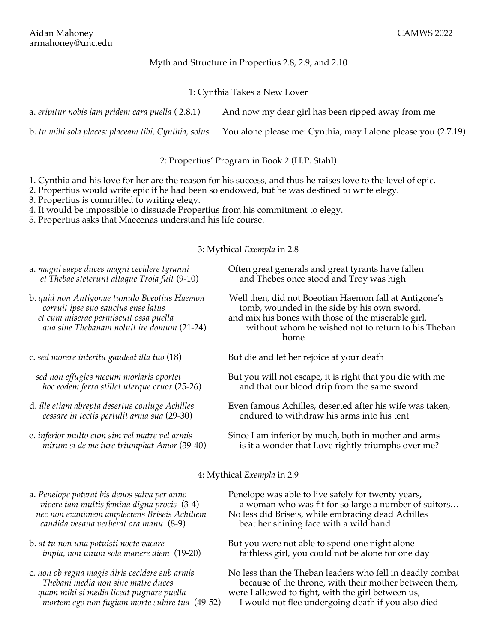## Myth and Structure in Propertius 2.8, 2.9, and 2.10

## 1: Cynthia Takes a New Lover

a. *eripitur nobis iam pridem cara puella* ( 2.8.1) And now my dear girl has been ripped away from me

b. *tu mihi sola places: placeam tibi, Cynthia, solus* You alone please me: Cynthia, may I alone please you (2.7.19)

2: Propertius' Program in Book 2 (H.P. Stahl)

1. Cynthia and his love for her are the reason for his success, and thus he raises love to the level of epic.

2. Propertius would write epic if he had been so endowed, but he was destined to write elegy.

3. Propertius is committed to writing elegy.

4. It would be impossible to dissuade Propertius from his commitment to elegy.

5. Propertius asks that Maecenas understand his life course.

3: Mythical *Exempla* in 2.8

- *et Thebae steterunt altaque Troia fuit* (9-10)and Thebes once stood and Troy was high
- *et cum miserae permiscuit ossa puella* and mix his bones with those of the miserable girl,
- 

- 
- 

a. *magni saepe duces magni cecidere tyranni* Often great generals and great tyrants have fallen

b. *quid non Antigonae tumulo Boeotius Haemon* Well then, did not Boeotian Haemon fall at Antigone's  *corruit ipse suo saucius ense latus* tomb, wounded in the side by his own sword,

 *qua sine Thebanam noluit ire domum* (21-24) without whom he wished not to return to his Theban home

c. *sed morere interitu gaudeat illa tuo* (18) But die and let her rejoice at your death

- *sed non effugies mecum moriaris oportet* But you will not escape, it is right that you die with me  *hoc eodem ferro stillet uterque cruor* (25-26)and that our blood drip from the same sword
- d. *ille etiam abrepta desertus coniuge Achilles* Even famous Achilles, deserted after his wife was taken,  *cessare in tectis pertulit arma sua* (29-30)endured to withdraw his arms into his tent
- e. *inferior multo cum sim vel matre vel armis* Since I am inferior by much, both in mother and arms  *mirum si de me iure triumphat Amor* (39-40)is it a wonder that Love rightly triumphs over me?

4: Mythical *Exempla* in 2.9

- *candida vesana verberat ora manu* (8-9)beat her shining face with a wild hand
- 
- 
- a. *Penelope poterat bis denos salva per anno* Penelope was able to live safely for twenty years,  *vivere tam multis femina digna procis* (3-4)a woman who was fit for so large a number of suitors… nec non exanimem amplectens Briseis Achillem No less did Briseis, while embracing dead Achilles
- b. *at tu non una potuisti nocte vacare* But you were not able to spend one night alone *impia, non unum sola manere diem* (19-20) faithless girl, you could not be alone for one day
- c. *non ob regna magis diris cecidere sub armis* No less than the Theban leaders who fell in deadly combat  *Thebani media non sine matre duces* because of the throne, with their mother between them, *quam mihi si media liceat pugnare puella* were I allowed to fight, with the girl between us,

 *mortem ego non fugiam morte subire tua* (49-52)I would not flee undergoing death if you also died